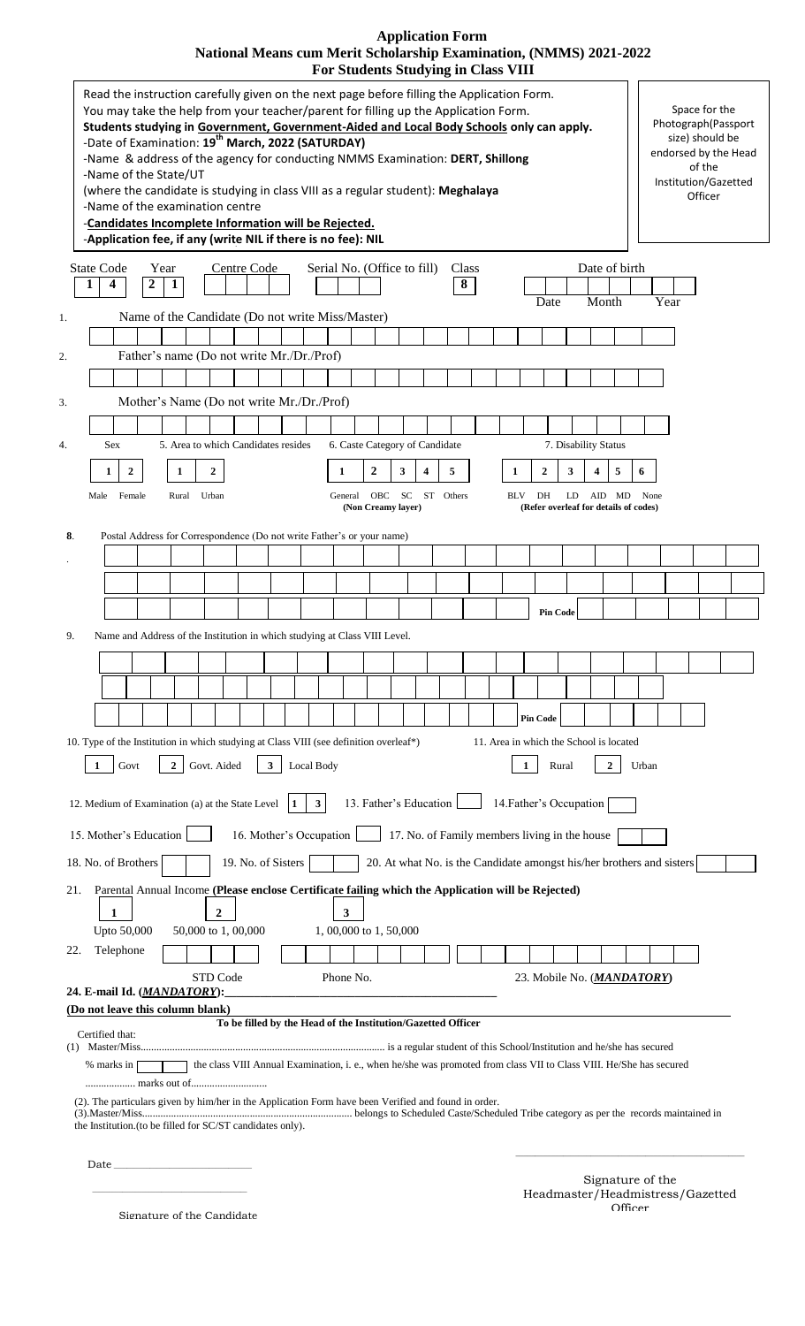# **Application Form National Means cum Merit Scholarship Examination, (NMMS) 2021-2022**

| <b>For Students Studying in Class VIII</b>                                                                                                                                                                                                                                                                                                                                                                                                                                                                                                                                                                                                                                                             |                                                                                                                              |
|--------------------------------------------------------------------------------------------------------------------------------------------------------------------------------------------------------------------------------------------------------------------------------------------------------------------------------------------------------------------------------------------------------------------------------------------------------------------------------------------------------------------------------------------------------------------------------------------------------------------------------------------------------------------------------------------------------|------------------------------------------------------------------------------------------------------------------------------|
| Read the instruction carefully given on the next page before filling the Application Form.<br>You may take the help from your teacher/parent for filling up the Application Form.<br>Students studying in Government, Government-Aided and Local Body Schools only can apply.<br>-Date of Examination: 19 <sup>th</sup> March, 2022 (SATURDAY)<br>-Name & address of the agency for conducting NMMS Examination: DERT, Shillong<br>-Name of the State/UT<br>(where the candidate is studying in class VIII as a regular student): Meghalaya<br>-Name of the examination centre<br>-Candidates Incomplete Information will be Rejected.<br>-Application fee, if any (write NIL if there is no fee): NIL | Space for the<br>Photograph(Passport<br>size) should be<br>endorsed by the Head<br>of the<br>Institution/Gazetted<br>Officer |
|                                                                                                                                                                                                                                                                                                                                                                                                                                                                                                                                                                                                                                                                                                        |                                                                                                                              |
| <b>State Code</b><br>Centre Code<br>Serial No. (Office to fill)<br>Year<br>Class<br>$\boldsymbol{2}$<br>$\overline{1}$<br>4<br>8<br>1<br>Date                                                                                                                                                                                                                                                                                                                                                                                                                                                                                                                                                          | Date of birth<br>Month<br>Year                                                                                               |
| Name of the Candidate (Do not write Miss/Master)<br>1.                                                                                                                                                                                                                                                                                                                                                                                                                                                                                                                                                                                                                                                 |                                                                                                                              |
|                                                                                                                                                                                                                                                                                                                                                                                                                                                                                                                                                                                                                                                                                                        |                                                                                                                              |
| Father's name (Do not write Mr./Dr./Prof)<br>2.                                                                                                                                                                                                                                                                                                                                                                                                                                                                                                                                                                                                                                                        |                                                                                                                              |
|                                                                                                                                                                                                                                                                                                                                                                                                                                                                                                                                                                                                                                                                                                        |                                                                                                                              |
| Mother's Name (Do not write Mr./Dr./Prof)<br>3.                                                                                                                                                                                                                                                                                                                                                                                                                                                                                                                                                                                                                                                        |                                                                                                                              |
|                                                                                                                                                                                                                                                                                                                                                                                                                                                                                                                                                                                                                                                                                                        |                                                                                                                              |
| 5. Area to which Candidates resides<br>6. Caste Category of Candidate<br>7. Disability Status<br>Sex<br>4.                                                                                                                                                                                                                                                                                                                                                                                                                                                                                                                                                                                             |                                                                                                                              |
| $\boldsymbol{2}$<br>3<br>5<br>$\boldsymbol{2}$<br>3<br>$\mathbf{2}$<br>1<br>4<br>$\boldsymbol{4}$                                                                                                                                                                                                                                                                                                                                                                                                                                                                                                                                                                                                      | 5<br>6                                                                                                                       |
| $\boldsymbol{2}$<br>1<br>1<br>1                                                                                                                                                                                                                                                                                                                                                                                                                                                                                                                                                                                                                                                                        |                                                                                                                              |
| SC<br>ST Others<br>Male<br>Female<br>Rural<br>Urban<br>OBC<br>BLV<br>DH<br>LD AID MD<br>General<br>(Refer overleaf for details of codes)<br>(Non Creamy layer)                                                                                                                                                                                                                                                                                                                                                                                                                                                                                                                                         | None                                                                                                                         |
|                                                                                                                                                                                                                                                                                                                                                                                                                                                                                                                                                                                                                                                                                                        |                                                                                                                              |
| Postal Address for Correspondence (Do not write Father's or your name)<br>8.                                                                                                                                                                                                                                                                                                                                                                                                                                                                                                                                                                                                                           |                                                                                                                              |
|                                                                                                                                                                                                                                                                                                                                                                                                                                                                                                                                                                                                                                                                                                        |                                                                                                                              |
|                                                                                                                                                                                                                                                                                                                                                                                                                                                                                                                                                                                                                                                                                                        |                                                                                                                              |
|                                                                                                                                                                                                                                                                                                                                                                                                                                                                                                                                                                                                                                                                                                        |                                                                                                                              |
| <b>Pin Code</b>                                                                                                                                                                                                                                                                                                                                                                                                                                                                                                                                                                                                                                                                                        |                                                                                                                              |
| Name and Address of the Institution in which studying at Class VIII Level.<br>9.                                                                                                                                                                                                                                                                                                                                                                                                                                                                                                                                                                                                                       |                                                                                                                              |
|                                                                                                                                                                                                                                                                                                                                                                                                                                                                                                                                                                                                                                                                                                        |                                                                                                                              |
|                                                                                                                                                                                                                                                                                                                                                                                                                                                                                                                                                                                                                                                                                                        |                                                                                                                              |
|                                                                                                                                                                                                                                                                                                                                                                                                                                                                                                                                                                                                                                                                                                        |                                                                                                                              |
| <b>Pin Code</b>                                                                                                                                                                                                                                                                                                                                                                                                                                                                                                                                                                                                                                                                                        |                                                                                                                              |
| 10. Type of the Institution in which studying at Class VIII (see definition overleaf*)<br>11. Area in which the School is located                                                                                                                                                                                                                                                                                                                                                                                                                                                                                                                                                                      |                                                                                                                              |
|                                                                                                                                                                                                                                                                                                                                                                                                                                                                                                                                                                                                                                                                                                        |                                                                                                                              |
| 2 <sub>1</sub><br>Govt. Aided<br>3 <sup>1</sup><br>Local Body<br>Rural<br>Govt<br>$\mathbf{1}$                                                                                                                                                                                                                                                                                                                                                                                                                                                                                                                                                                                                         | $\mathbf{2}$<br>Urban                                                                                                        |
| 13. Father's Education                                                                                                                                                                                                                                                                                                                                                                                                                                                                                                                                                                                                                                                                                 |                                                                                                                              |
| 14. Father's Occupation<br>$\mathbf{3}$<br>12. Medium of Examination (a) at the State Level<br>1                                                                                                                                                                                                                                                                                                                                                                                                                                                                                                                                                                                                       |                                                                                                                              |
| 15. Mother's Education<br>16. Mother's Occupation<br>17. No. of Family members living in the house                                                                                                                                                                                                                                                                                                                                                                                                                                                                                                                                                                                                     |                                                                                                                              |
| 18. No. of Brothers                                                                                                                                                                                                                                                                                                                                                                                                                                                                                                                                                                                                                                                                                    |                                                                                                                              |
| 19. No. of Sisters<br>20. At what No. is the Candidate amongst his/her brothers and sisters                                                                                                                                                                                                                                                                                                                                                                                                                                                                                                                                                                                                            |                                                                                                                              |
| Parental Annual Income (Please enclose Certificate failing which the Application will be Rejected)<br>21.                                                                                                                                                                                                                                                                                                                                                                                                                                                                                                                                                                                              |                                                                                                                              |
| 3<br>1<br>2                                                                                                                                                                                                                                                                                                                                                                                                                                                                                                                                                                                                                                                                                            |                                                                                                                              |
| Upto 50,000<br>50,000 to 1,00,000<br>1,00,000 to 1,50,000                                                                                                                                                                                                                                                                                                                                                                                                                                                                                                                                                                                                                                              |                                                                                                                              |
| Telephone<br>22.                                                                                                                                                                                                                                                                                                                                                                                                                                                                                                                                                                                                                                                                                       |                                                                                                                              |
| STD Code<br>Phone No.<br>23. Mobile No. ( <i>MANDATORY</i> )                                                                                                                                                                                                                                                                                                                                                                                                                                                                                                                                                                                                                                           |                                                                                                                              |
| 24. E-mail Id. (MANDATORY):                                                                                                                                                                                                                                                                                                                                                                                                                                                                                                                                                                                                                                                                            |                                                                                                                              |
| (Do not leave this column blank)                                                                                                                                                                                                                                                                                                                                                                                                                                                                                                                                                                                                                                                                       |                                                                                                                              |
| To be filled by the Head of the Institution/Gazetted Officer<br>Certified that:                                                                                                                                                                                                                                                                                                                                                                                                                                                                                                                                                                                                                        |                                                                                                                              |
|                                                                                                                                                                                                                                                                                                                                                                                                                                                                                                                                                                                                                                                                                                        |                                                                                                                              |
| % marks in<br>the class VIII Annual Examination, i. e., when he/she was promoted from class VII to Class VIII. He/She has secured                                                                                                                                                                                                                                                                                                                                                                                                                                                                                                                                                                      |                                                                                                                              |
|                                                                                                                                                                                                                                                                                                                                                                                                                                                                                                                                                                                                                                                                                                        |                                                                                                                              |
| (2). The particulars given by him/her in the Application Form have been Verified and found in order.                                                                                                                                                                                                                                                                                                                                                                                                                                                                                                                                                                                                   |                                                                                                                              |
| the Institution. (to be filled for SC/ST candidates only).                                                                                                                                                                                                                                                                                                                                                                                                                                                                                                                                                                                                                                             |                                                                                                                              |
|                                                                                                                                                                                                                                                                                                                                                                                                                                                                                                                                                                                                                                                                                                        |                                                                                                                              |
| Date                                                                                                                                                                                                                                                                                                                                                                                                                                                                                                                                                                                                                                                                                                   |                                                                                                                              |

Signature of the Candidate

 $\mathcal{L}_\text{max}$  and the contract of the contract of the contract of the contract of the contract of the contract of the contract of the contract of the contract of the contract of the contract of the contract of the contrac

Signature of the Headmaster/Headmistress/Gazetted Officer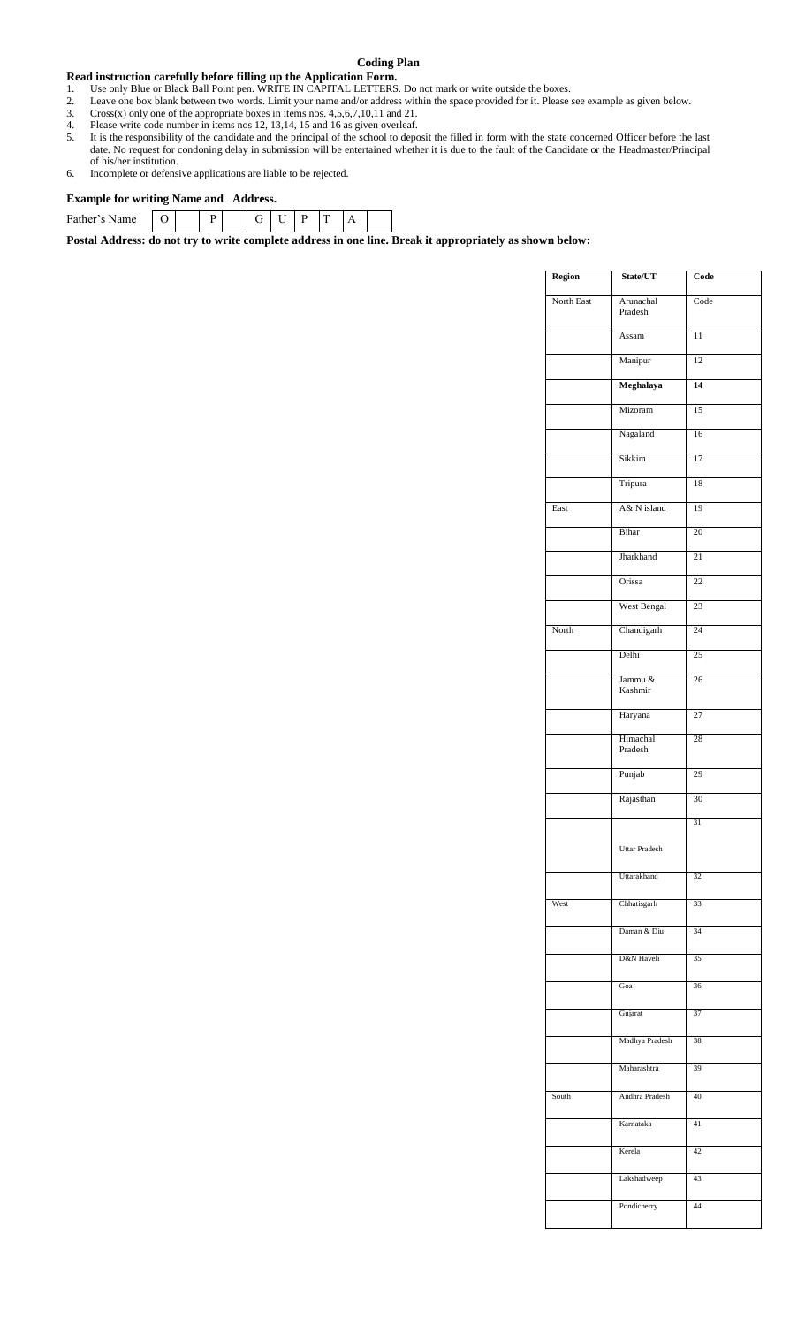#### **Coding Plan**

#### **Read instruction carefully before filling up the Application Form.**

- 1. Use only Blue or Black Ball Point pen. WRITE IN CAPITAL LETTERS. Do not mark or write outside the boxes.
- 2. Leave one box blank between two words. Limit your name and/or address within the space provided for it. Please see example as given below.<br>3. Cross(x) only one of the appropriate boxes in items nos.  $4.5.6.7.10.11$  and
- 3. Cross $(x)$  only one of the appropriate boxes in items nos.  $4,5,6,7,10,11$  and  $21$ .
- 4. Please write code number in items nos 12, 13,14, 15 and 16 as given overleaf.
- 5. It is the responsibility of the candidate and the principal of the school to deposit the filled in form with the state concerned Officer before the last date. No request for condoning delay in submission will be entertained whether it is due to the fault of the Candidate or the Headmaster/Principal of his/her institution.
- 6. Incomplete or defensive applications are liable to be rejected.

#### **Example for writing Name and Address.**

| Father's<br>ame | ◡ |  | ◡ |  |  |  |
|-----------------|---|--|---|--|--|--|

**Postal Address: do not try to write complete address in one line. Break it appropriately as shown below:**

| Region     | State/UT             | Code |
|------------|----------------------|------|
| North East | Arunachal<br>Pradesh | Code |
|            | Assam                | 11   |
|            | Manipur              | 12   |
|            | Meghalaya            | 14   |
|            | Mizoram              | 15   |
|            | Nagaland             | 16   |
|            | Sikkim               | 17   |
|            | Tripura              | 18   |
| East       | A& N island          | 19   |
|            | <b>Bihar</b>         | 20   |
|            | Jharkhand            | 21   |
|            | Orissa               | 22   |
|            | West Bengal          | 23   |
| North      | Chandigarh           | 24   |
|            | Delhi                | 25   |
|            | Jammu &<br>Kashmir   | 26   |
|            | Haryana              | 27   |
|            | Himachal<br>Pradesh  | 28   |
|            | Punjab               | 29   |
|            | Rajasthan            | 30   |
|            |                      | 31   |
|            | Uttar Pradesh        |      |
|            | Uttarakhand          | 32   |
| West       | Chhatisgarh          | 33   |
|            | Daman & Diu          | 34   |
|            | D&N Haveli           | 35   |
|            | Goa                  | 36   |
|            | Gujarat              | 37   |
|            | Madhya Pradesh       | 38   |
|            | Maharashtra          | 39   |
| South      | Andhra Pradesh       | 40   |
|            | Karnataka            | 41   |
|            | Kerela               | 42   |
|            | Lakshadweep          | 43   |
|            | Pondicherry          | 44   |
|            |                      |      |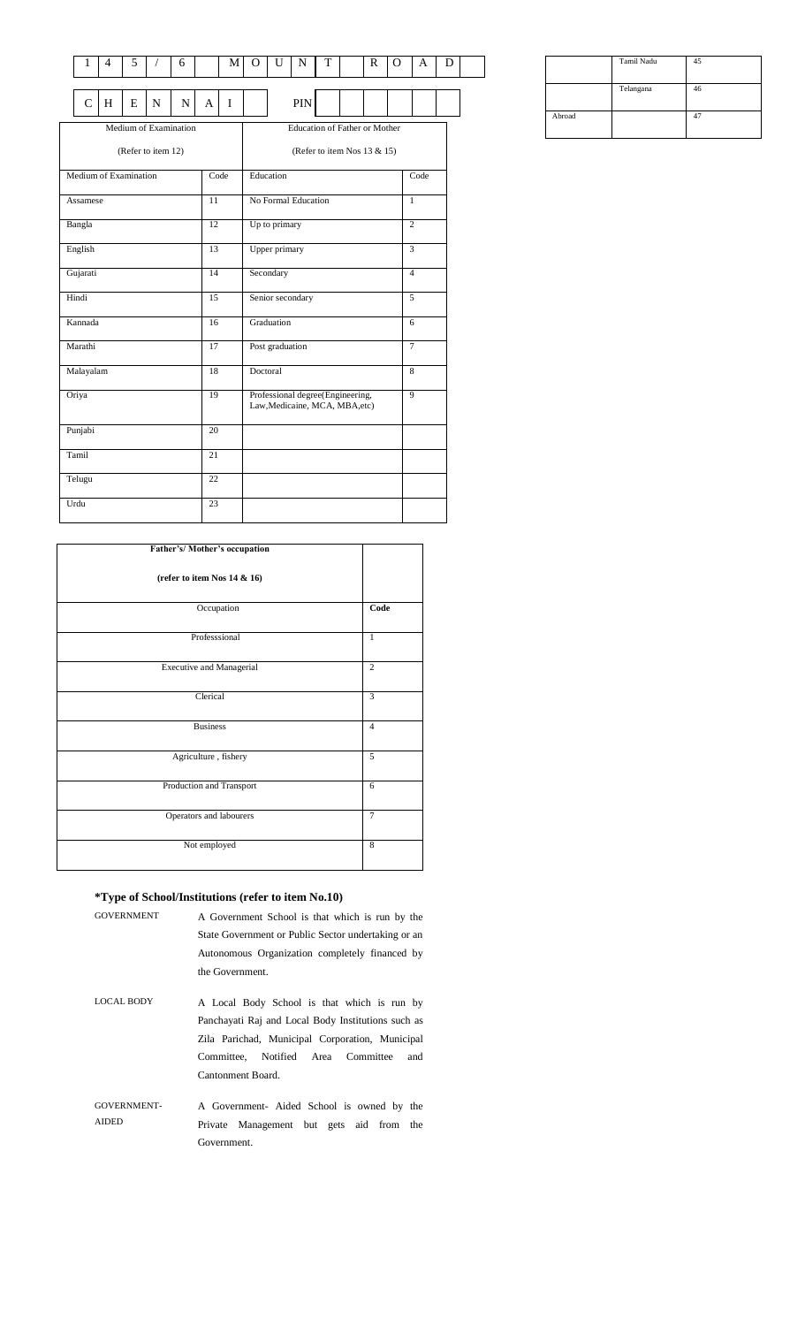| 1              | 4 | 5                     |                    | 6                     |    | M                                                                  | $\Omega$                    | U               | N                             | T |  | R | O | A              | D |
|----------------|---|-----------------------|--------------------|-----------------------|----|--------------------------------------------------------------------|-----------------------------|-----------------|-------------------------------|---|--|---|---|----------------|---|
|                |   |                       |                    |                       |    |                                                                    |                             |                 |                               |   |  |   |   |                |   |
| $\overline{C}$ | H | E                     | N                  | N                     | A  | $\mathbf I$                                                        |                             |                 | PIN                           |   |  |   |   |                |   |
|                |   |                       |                    | Medium of Examination |    |                                                                    |                             |                 | Education of Father or Mother |   |  |   |   |                |   |
|                |   |                       | (Refer to item 12) |                       |    |                                                                    | (Refer to item Nos 13 & 15) |                 |                               |   |  |   |   |                |   |
|                |   | Medium of Examination |                    |                       |    | Code                                                               |                             | Education       |                               |   |  |   |   | Code           |   |
| Assamese       |   |                       |                    |                       | 11 |                                                                    |                             |                 | No Formal Education           |   |  |   |   | 1              |   |
| Bangla         |   |                       |                    |                       | 12 |                                                                    |                             | Up to primary   |                               |   |  |   |   | $\overline{c}$ |   |
| English        |   |                       |                    |                       | 13 |                                                                    |                             | Upper primary   |                               |   |  |   |   | 3              |   |
| Gujarati       |   |                       |                    |                       | 14 |                                                                    |                             | Secondary       |                               |   |  |   |   | $\overline{4}$ |   |
| Hindi          |   |                       |                    |                       | 15 |                                                                    |                             |                 | Senior secondary              |   |  |   |   | 5              |   |
| Kannada        |   |                       |                    |                       | 16 |                                                                    |                             | Graduation      |                               |   |  |   |   | 6              |   |
| Marathi        |   |                       |                    |                       | 17 |                                                                    |                             | Post graduation |                               |   |  |   |   | $\tau$         |   |
| Malayalam      |   |                       |                    |                       | 18 |                                                                    | Doctoral                    |                 |                               |   |  |   |   | 8              |   |
| Oriya          |   |                       |                    | 19                    |    | Professional degree(Engineering,<br>Law, Medicaine, MCA, MBA, etc) |                             |                 |                               |   |  | 9 |   |                |   |
| Punjabi        |   |                       |                    |                       | 20 |                                                                    |                             |                 |                               |   |  |   |   |                |   |
| Tamil          |   |                       |                    |                       | 21 |                                                                    |                             |                 |                               |   |  |   |   |                |   |
| Telugu         |   |                       |                    |                       | 22 |                                                                    |                             |                 |                               |   |  |   |   |                |   |
| Urdu           |   |                       |                    |                       | 23 |                                                                    |                             |                 |                               |   |  |   |   |                |   |

| Father's/Mother's occupation    |                         |
|---------------------------------|-------------------------|
| (refer to item Nos 14 & 16)     |                         |
| Occupation                      | Code                    |
| Professsional                   | $\mathbf{1}$            |
| <b>Executive and Managerial</b> | $\overline{2}$          |
| Clerical                        | $\overline{\mathbf{3}}$ |
| <b>Business</b>                 | $\overline{4}$          |
| Agriculture, fishery            | 5                       |
| Production and Transport        | 6                       |
| Operators and labourers         | $\overline{7}$          |
| Not employed                    | 8                       |

#### **\*Type of School/Institutions (refer to item No.10)**

| <b>GOVERNMENT</b>                  | A Government School is that which is run by the<br>State Government or Public Sector undertaking or an<br>Autonomous Organization completely financed by<br>the Government.                                            |
|------------------------------------|------------------------------------------------------------------------------------------------------------------------------------------------------------------------------------------------------------------------|
|                                    |                                                                                                                                                                                                                        |
| <b>LOCAL BODY</b>                  | A Local Body School is that which is run by<br>Panchayati Raj and Local Body Institutions such as<br>Zila Parichad, Municipal Corporation, Municipal<br>Committee, Notified Area Committee<br>and<br>Cantonment Board. |
| <b>GOVERNMENT-</b><br><b>AIDED</b> | A Government- Aided School is owned by the<br>Private Management but gets aid from the<br>Government.                                                                                                                  |
|                                    |                                                                                                                                                                                                                        |

|        | Tamil Nadu |    |
|--------|------------|----|
|        | Telangana  | 46 |
| Abroad |            |    |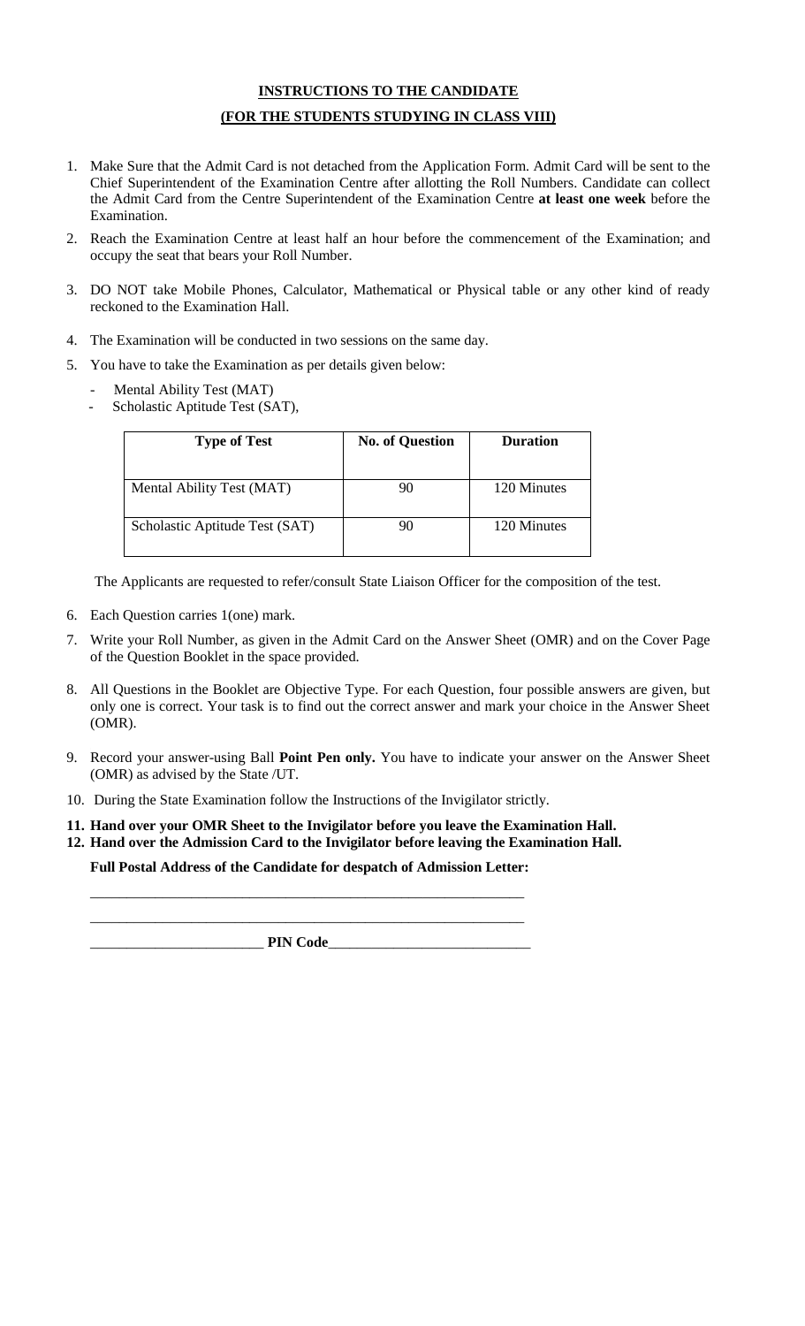#### **INSTRUCTIONS TO THE CANDIDATE**

#### **(FOR THE STUDENTS STUDYING IN CLASS VIII)**

- 1. Make Sure that the Admit Card is not detached from the Application Form. Admit Card will be sent to the Chief Superintendent of the Examination Centre after allotting the Roll Numbers. Candidate can collect the Admit Card from the Centre Superintendent of the Examination Centre **at least one week** before the Examination.
- 2. Reach the Examination Centre at least half an hour before the commencement of the Examination; and occupy the seat that bears your Roll Number.
- 3. DO NOT take Mobile Phones, Calculator, Mathematical or Physical table or any other kind of ready reckoned to the Examination Hall.
- 4. The Examination will be conducted in two sessions on the same day.
- 5. You have to take the Examination as per details given below:
	- Mental Ability Test (MAT)
	- Scholastic Aptitude Test (SAT),

| <b>Type of Test</b>            | <b>No. of Question</b> | <b>Duration</b> |
|--------------------------------|------------------------|-----------------|
| Mental Ability Test (MAT)      |                        | 120 Minutes     |
| Scholastic Aptitude Test (SAT) |                        | 120 Minutes     |

The Applicants are requested to refer/consult State Liaison Officer for the composition of the test.

- 6. Each Question carries 1(one) mark.
- 7. Write your Roll Number, as given in the Admit Card on the Answer Sheet (OMR) and on the Cover Page of the Question Booklet in the space provided.
- 8. All Questions in the Booklet are Objective Type. For each Question, four possible answers are given, but only one is correct. Your task is to find out the correct answer and mark your choice in the Answer Sheet (OMR).
- 9. Record your answer-using Ball **Point Pen only.** You have to indicate your answer on the Answer Sheet (OMR) as advised by the State /UT.
- 10. During the State Examination follow the Instructions of the Invigilator strictly.
- **11. Hand over your OMR Sheet to the Invigilator before you leave the Examination Hall.**
- **12. Hand over the Admission Card to the Invigilator before leaving the Examination Hall.**

**Full Postal Address of the Candidate for despatch of Admission Letter:** \_\_\_\_\_\_\_\_\_\_\_\_\_\_\_\_\_\_\_\_\_\_\_\_\_\_\_\_\_\_\_\_\_\_\_\_\_\_\_\_\_\_\_\_\_\_\_\_\_\_\_\_\_\_\_\_\_\_\_\_

\_\_\_\_\_\_\_\_\_\_\_\_\_\_\_\_\_\_\_\_\_\_\_\_\_\_\_\_\_\_\_\_\_\_\_\_\_\_\_\_\_\_\_\_\_\_\_\_\_\_\_\_\_\_\_\_\_\_\_\_

\_\_\_\_\_\_\_\_\_\_\_\_\_\_\_\_\_\_\_\_\_\_\_\_ **PIN Code**\_\_\_\_\_\_\_\_\_\_\_\_\_\_\_\_\_\_\_\_\_\_\_\_\_\_\_\_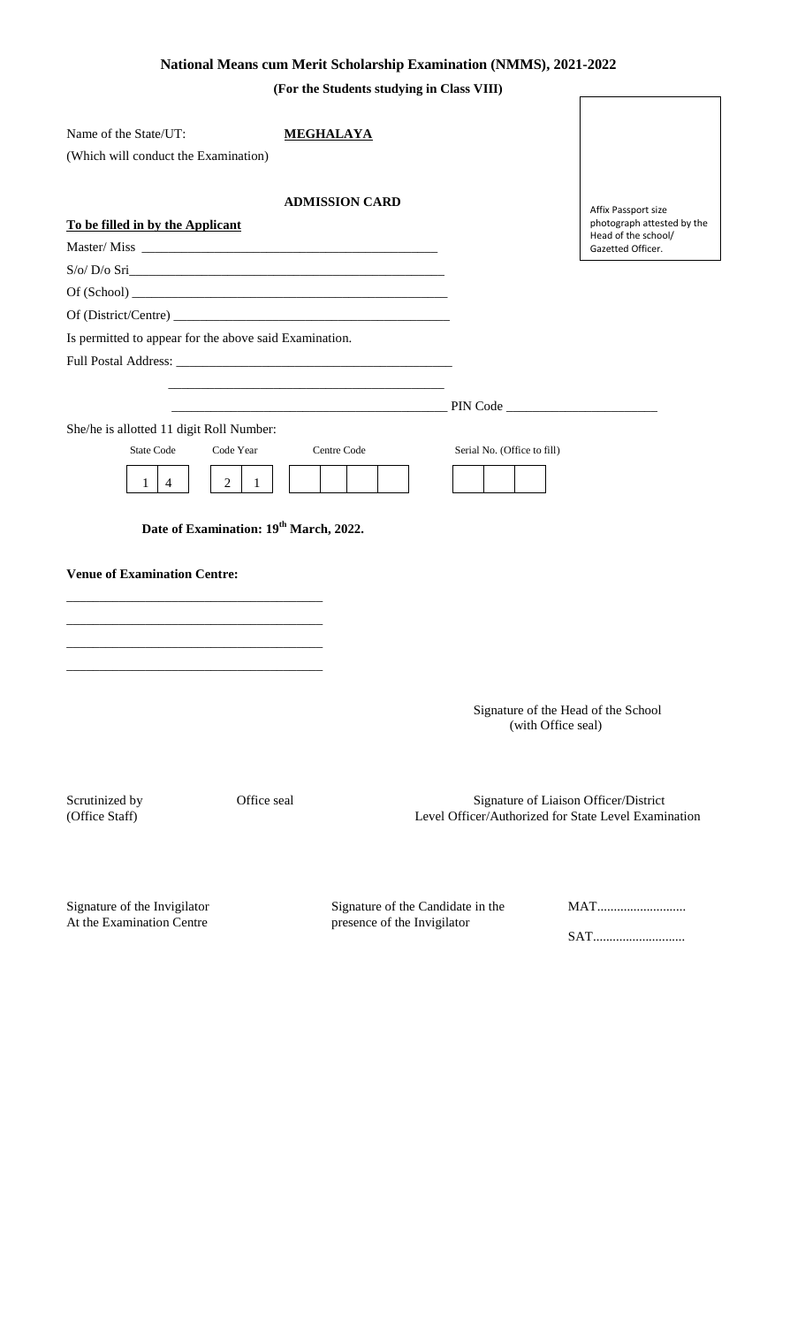## **National Means cum Merit Scholarship Examination (NMMS), 2021-2022**

**(For the Students studying in Class VIII)**

| Name of the State/UT:                                     | <b>MEGHALAYA</b>                                                                                                     |                                   |                                                                                               |
|-----------------------------------------------------------|----------------------------------------------------------------------------------------------------------------------|-----------------------------------|-----------------------------------------------------------------------------------------------|
| (Which will conduct the Examination)                      |                                                                                                                      |                                   |                                                                                               |
|                                                           |                                                                                                                      |                                   |                                                                                               |
|                                                           | <b>ADMISSION CARD</b>                                                                                                |                                   | Affix Passport size                                                                           |
| To be filled in by the Applicant                          |                                                                                                                      |                                   | photograph attested by the                                                                    |
|                                                           |                                                                                                                      |                                   | Head of the school/<br>Gazetted Officer.                                                      |
| S/O/ D/O Sri                                              |                                                                                                                      |                                   |                                                                                               |
|                                                           |                                                                                                                      |                                   |                                                                                               |
|                                                           |                                                                                                                      |                                   |                                                                                               |
| Is permitted to appear for the above said Examination.    |                                                                                                                      |                                   |                                                                                               |
|                                                           |                                                                                                                      |                                   |                                                                                               |
|                                                           |                                                                                                                      |                                   |                                                                                               |
|                                                           | <u> 2000 - Jan James James James James James James James James James James James James James James James James J</u> |                                   |                                                                                               |
| She/he is allotted 11 digit Roll Number:                  |                                                                                                                      |                                   |                                                                                               |
| <b>State Code</b><br>Code Year                            | Centre Code                                                                                                          | Serial No. (Office to fill)       |                                                                                               |
| $\overline{2}$<br>4<br>1<br>1                             |                                                                                                                      |                                   |                                                                                               |
|                                                           |                                                                                                                      |                                   |                                                                                               |
| Date of Examination: 19th March, 2022.                    |                                                                                                                      |                                   |                                                                                               |
| <b>Venue of Examination Centre:</b>                       |                                                                                                                      |                                   |                                                                                               |
|                                                           |                                                                                                                      |                                   |                                                                                               |
|                                                           |                                                                                                                      |                                   |                                                                                               |
|                                                           |                                                                                                                      |                                   |                                                                                               |
|                                                           |                                                                                                                      |                                   |                                                                                               |
|                                                           |                                                                                                                      |                                   |                                                                                               |
|                                                           |                                                                                                                      |                                   | Signature of the Head of the School<br>(with Office seal)                                     |
| Office seal<br>Scrutinized by<br>(Office Staff)           |                                                                                                                      |                                   | Signature of Liaison Officer/District<br>Level Officer/Authorized for State Level Examination |
| Signature of the Invigilator<br>At the Examination Centre | presence of the Invigilator                                                                                          | Signature of the Candidate in the | <b>MAT</b><br>SAT                                                                             |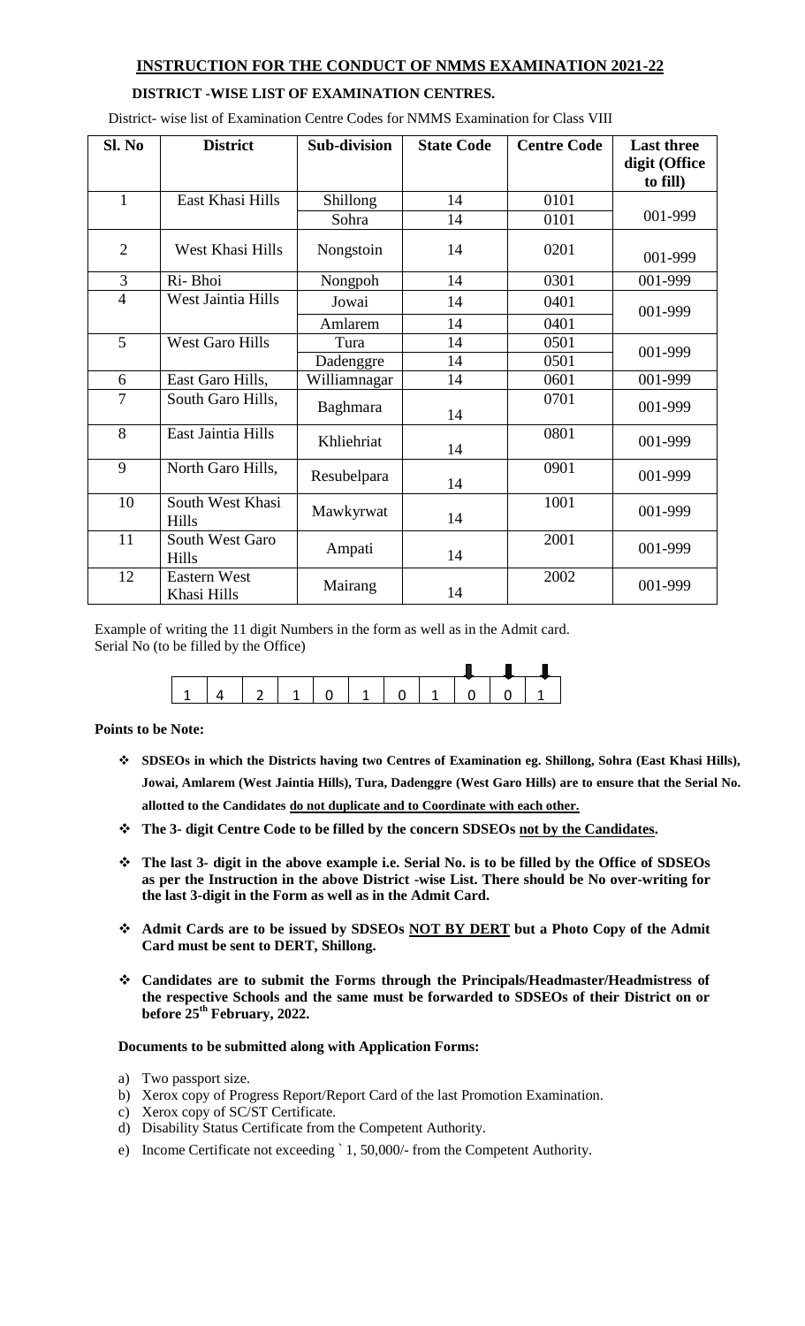### **INSTRUCTION FOR THE CONDUCT OF NMMS EXAMINATION 2021-22**

#### **DISTRICT -WISE LIST OF EXAMINATION CENTRES.**

| Sl. No         | <b>District</b>                    | <b>Sub-division</b> | <b>State Code</b> | <b>Centre Code</b> | <b>Last three</b><br>digit (Office<br>to fill) |
|----------------|------------------------------------|---------------------|-------------------|--------------------|------------------------------------------------|
| $\mathbf{1}$   | East Khasi Hills                   | Shillong            | 14                | 0101               |                                                |
|                |                                    | Sohra               | 14                | 0101               | 001-999                                        |
| $\overline{2}$ | West Khasi Hills                   | Nongstoin           | 14                | 0201               | 001-999                                        |
| 3              | Ri-Bhoi                            | Nongpoh             | 14                | 0301               | 001-999                                        |
| $\overline{4}$ | West Jaintia Hills                 | Jowai               | 14                | 0401               | 001-999                                        |
|                |                                    | Amlarem             | 14                | 0401               |                                                |
| 5              | <b>West Garo Hills</b>             | Tura                | 14                | 0501               | 001-999                                        |
|                |                                    | Dadenggre           | 14                | 0501               |                                                |
| 6              | East Garo Hills,                   | Williamnagar        | 14                | 0601               | 001-999                                        |
| $\overline{7}$ | South Garo Hills,                  | Baghmara            | 14                | 0701               | 001-999                                        |
| 8              | East Jaintia Hills                 | Khliehriat          | 14                | 0801               | 001-999                                        |
| 9              | North Garo Hills,                  | Resubelpara         | 14                | 0901               | 001-999                                        |
| 10             | South West Khasi<br>Hills          | Mawkyrwat           | 14                | 1001               | 001-999                                        |
| 11             | South West Garo<br>Hills           | Ampati              | 14                | 2001               | 001-999                                        |
| 12             | <b>Eastern West</b><br>Khasi Hills | Mairang             | 14                | 2002               | 001-999                                        |

District- wise list of Examination Centre Codes for NMMS Examination for Class VIII

Example of writing the 11 digit Numbers in the form as well as in the Admit card. Serial No (to be filled by the Office)



**Points to be Note:**

- **SDSEOs in which the Districts having two Centres of Examination eg. Shillong, Sohra (East Khasi Hills), Jowai, Amlarem (West Jaintia Hills), Tura, Dadenggre (West Garo Hills) are to ensure that the Serial No. allotted to the Candidates do not duplicate and to Coordinate with each other.**
- **The 3- digit Centre Code to be filled by the concern SDSEOs not by the Candidates.**
- **The last 3- digit in the above example i.e. Serial No. is to be filled by the Office of SDSEOs as per the Instruction in the above District -wise List. There should be No over-writing for the last 3-digit in the Form as well as in the Admit Card.**
- **Admit Cards are to be issued by SDSEOs NOT BY DERT but a Photo Copy of the Admit Card must be sent to DERT, Shillong.**
- **Candidates are to submit the Forms through the Principals/Headmaster/Headmistress of the respective Schools and the same must be forwarded to SDSEOs of their District on or before 25th February, 2022.**

#### **Documents to be submitted along with Application Forms:**

- a) Two passport size.
- b) Xerox copy of Progress Report/Report Card of the last Promotion Examination.
- c) Xerox copy of SC/ST Certificate.
- d) Disability Status Certificate from the Competent Authority.
- e) Income Certificate not exceeding ` 1, 50,000/- from the Competent Authority.